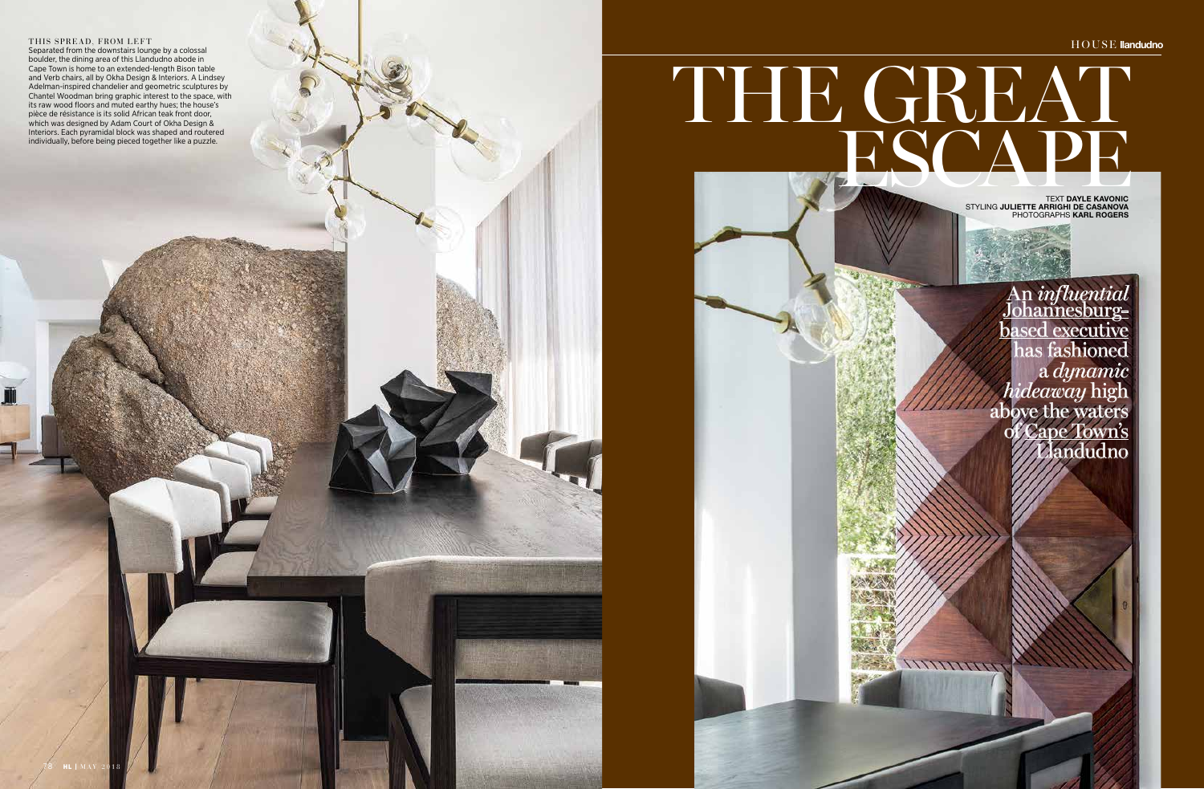## ESCAPE KAVONIC THE GREAT

78 **HL** | MAY 2018

An *influential* Johannesburg**based** executive has fashioned a *dynamic hideaway* high above the waters of Cape Town's Llandudno

WWWW

TEXT **DAYLE KAVONIC**  STYLING **JULIETTE ARRIGHI DE CASANOVA** PHOTOGRAPHS **KARL ROGERS**

## THIS SPREAD, FROM LEFT

Separated from the downstairs lounge by a colossal boulder, the dining area of this Llandudno abode in Cape Town is home to an extended-length Bison table and Verb chairs, all by Okha Design & Interiors. A Lindsey Adelman-inspired chandelier and geometric sculptures by Chantel Woodman bring graphic interest to the space, with its raw wood floors and muted earthy hues; the house's pièce de résistance is its solid African teak front door, which was designed by Adam Court of Okha Design & Interiors. Each pyramidal block was shaped and routered individually, before being pieced together like a puzzle.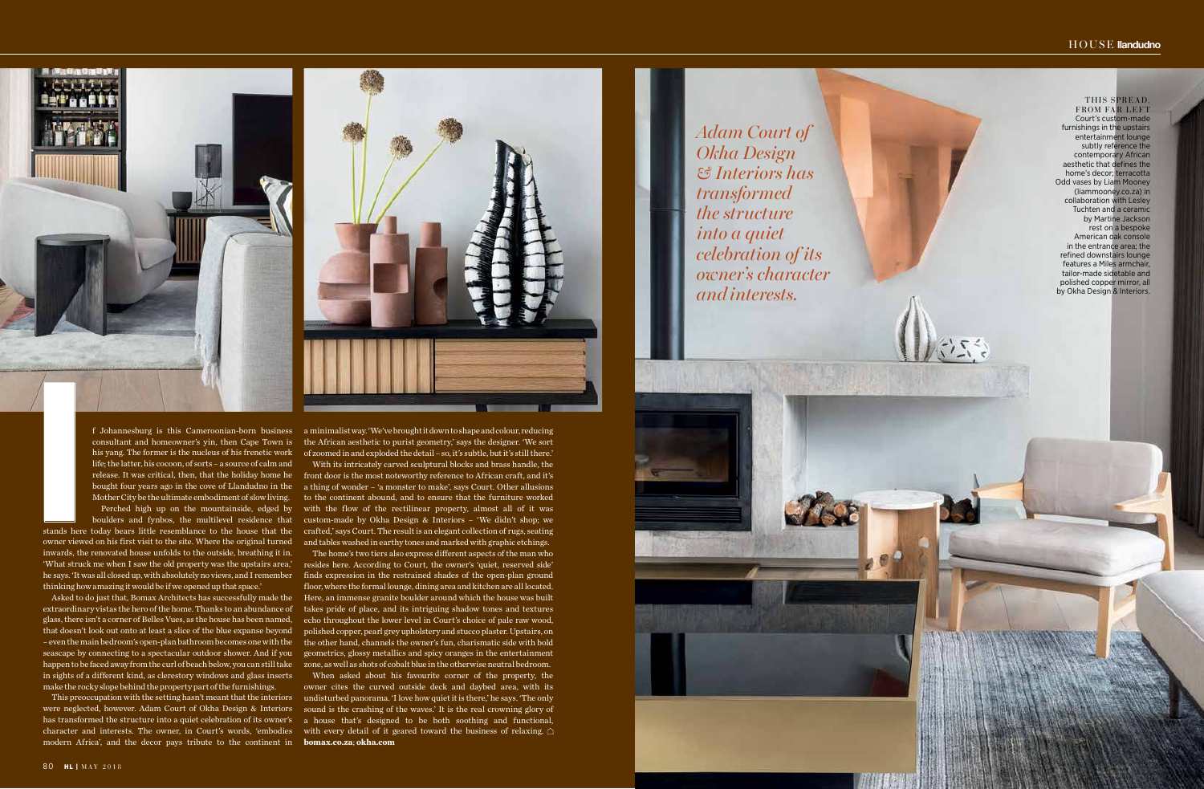

Asked to do just that, Bomax Architects has successfully made the extraordinary vistas the hero of the home. Thanks to an abundance of glass, there isn't a corner of Belles Vues, as the house has been named, that doesn't look out onto at least a slice of the blue expanse beyond – even the main bedroom's open-plan bathroom becomes one with the seascape by connecting to a spectacular outdoor shower. And if you happen to be faced away from the curl of beach below, you can still take in sights of a different kind, as clerestory windows and glass inserts make the rocky slope behind the property part of the furnishings. The strained in the former is the modes of the former is misspace of the strained moreover is the strained if it is fig. the former is the modes of his free<br>time in its jump. The former is the modes of his free<br>the work i

f Johannesburg is this Cameroonian-born business consultant and homeowner's yin, then Cape Town is his yang. The former is the nucleus of his frenetic work life; the latter, his cocoon, of sorts – a source of calm and release. It was critical, then, that the holiday home he bought four years ago in the cove of Llandudno in the Mother City be the ultimate embodiment of slow living. Perched high up on the mountainside, edged by

boulders and fynbos, the multilevel residence that stands here today bears little resemblance to the house that the owner viewed on his first visit to the site. Where the original turned inwards, the renovated house unfolds to the outside, breathing it in. 'What struck me when I saw the old property was the upstairs area,' he says. 'It was all closed up, with absolutely no views, and I remember thinking how amazing it would be if we opened up that space.'

This preoccupation with the setting hasn't meant that the interiors were neglected, however. Adam Court of Okha Design & Interiors has transformed the structure into a quiet celebration of its owner's character and interests. The owner, in Court's words, 'embodies

## HOUSE **llandudno**

THIS SPREAD, FROM FAR LEFT Court's custom-made furnishings in the upstairs entertainment lounge subtly reference the contemporary African aesthetic that defines the home's decor; terracotta Odd vases by Liam Mooney (liammooney.co.za) in collaboration with Lesley Tuchten and a ceramic by Martine Jackson rest on a bespoke American oak console in the entrance area; the refined downstairs lounge features a Miles armchair, tailor-made sidetable and polished copper mirror, all by Okha Design & Interiors.

a minimalist way. 'We've brought it down to shape and colour, reducing the African aesthetic to purist geometry,' says the designer. 'We sort of zoomed in and exploded the detail – so, it's subtle, but it's still there.'

With its intricately carved sculptural blocks and brass handle, the front door is the most noteworthy reference to African craft, and it's a thing of wonder – 'a monster to make', says Court. Other allusions to the continent abound, and to ensure that the furniture worked with the flow of the rectilinear property, almost all of it was custom-made by Okha Design & Interiors – 'We didn't shop; we crafted,' says Court. The result is an elegant collection of rugs, seating and tables washed in earthy tones and marked with graphic etchings.

The home's two tiers also express different aspects of the man who resides here. According to Court, the owner's 'quiet, reserved side' finds expression in the restrained shades of the open-plan ground floor, where the formal lounge, dining area and kitchen are all located. Here, an immense granite boulder around which the house was built takes pride of place, and its intriguing shadow tones and textures echo throughout the lower level in Court's choice of pale raw wood, polished copper, pearl grey upholstery and stucco plaster. Upstairs, on the other hand, channels the owner's fun, charismatic side with bold geometrics, glossy metallics and spicy oranges in the entertainment zone, as well as shots of cobalt blue in the otherwise neutral bedroom.

When asked about his favourite corner of the property, the owner cites the curved outside deck and daybed area, with its undisturbed panorama. 'I love how quiet it is there,' he says. 'The only sound is the crashing of the waves.' It is the real crowning glory of a house that's designed to be both soothing and functional, with every detail of it geared toward the business of relaxing.  $\bigcirc$ **bomax.co.za** ; **okha.com**

**displayed along the** *displayed*  $\boldsymbol{\epsilon}$  and  $\boldsymbol{\epsilon}$  and  $\boldsymbol{\epsilon}$  and  $\boldsymbol{\epsilon}$  and  $\boldsymbol{\epsilon}$  and  $\boldsymbol{\epsilon}$  and  $\boldsymbol{\epsilon}$  and  $\boldsymbol{\epsilon}$  and  $\boldsymbol{\epsilon}$  and  $\boldsymbol{\epsilon}$  and  $\boldsymbol{\epsilon}$  and  $\boldsymbol{\epsilon}$  and  $\boldsymbol{\epsilon}$  and  $\boldsymbol{\epsilon}$  and  $\boldsymbol{\epsilon$ *celebration of its CONFINE CONFIDENT BY A FINE CONFIDENTIAL STATE SCHOOL SECTION AND LETTER SCHOOL SECTION ASSESSMENT SCHOOL SECTION ASSESSMENT DECIMEND*